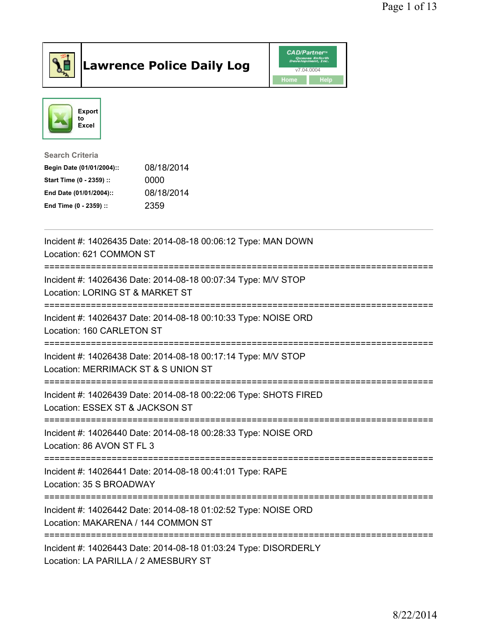

## Lawrence Police Daily Log **Daniel CAD/Partner**





Search Criteria Begin Date (01/01/2004):: 08/18/2014 Start Time (0 - 2359) :: 0000 End Date (01/01/2004):: 08/18/2014 End Time (0 - 2359) :: 2359

| Incident #: 14026435 Date: 2014-08-18 00:06:12 Type: MAN DOWN<br>Location: 621 COMMON ST                                       |
|--------------------------------------------------------------------------------------------------------------------------------|
| Incident #: 14026436 Date: 2014-08-18 00:07:34 Type: M/V STOP<br>Location: LORING ST & MARKET ST<br>----------------------     |
| Incident #: 14026437 Date: 2014-08-18 00:10:33 Type: NOISE ORD<br>Location: 160 CARLETON ST                                    |
| Incident #: 14026438 Date: 2014-08-18 00:17:14 Type: M/V STOP<br>Location: MERRIMACK ST & S UNION ST                           |
| Incident #: 14026439 Date: 2014-08-18 00:22:06 Type: SHOTS FIRED<br>Location: ESSEX ST & JACKSON ST                            |
| Incident #: 14026440 Date: 2014-08-18 00:28:33 Type: NOISE ORD<br>Location: 86 AVON ST FL 3                                    |
| Incident #: 14026441 Date: 2014-08-18 00:41:01 Type: RAPE<br>Location: 35 S BROADWAY<br>.----------------                      |
| Incident #: 14026442 Date: 2014-08-18 01:02:52 Type: NOISE ORD<br>Location: MAKARENA / 144 COMMON ST<br>---------------------- |
| Incident #: 14026443 Date: 2014-08-18 01:03:24 Type: DISORDERLY<br>Location: LA PARILLA / 2 AMESBURY ST                        |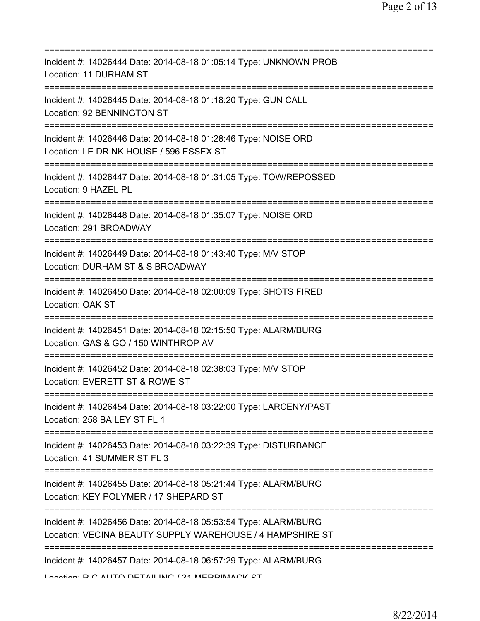| Incident #: 14026444 Date: 2014-08-18 01:05:14 Type: UNKNOWN PROB<br>Location: 11 DURHAM ST                                                               |
|-----------------------------------------------------------------------------------------------------------------------------------------------------------|
| Incident #: 14026445 Date: 2014-08-18 01:18:20 Type: GUN CALL<br>Location: 92 BENNINGTON ST                                                               |
| Incident #: 14026446 Date: 2014-08-18 01:28:46 Type: NOISE ORD<br>Location: LE DRINK HOUSE / 596 ESSEX ST<br>===============================              |
| Incident #: 14026447 Date: 2014-08-18 01:31:05 Type: TOW/REPOSSED<br>Location: 9 HAZEL PL                                                                 |
| Incident #: 14026448 Date: 2014-08-18 01:35:07 Type: NOISE ORD<br>Location: 291 BROADWAY<br>=====================================                         |
| Incident #: 14026449 Date: 2014-08-18 01:43:40 Type: M/V STOP<br>Location: DURHAM ST & S BROADWAY                                                         |
| Incident #: 14026450 Date: 2014-08-18 02:00:09 Type: SHOTS FIRED<br>Location: OAK ST                                                                      |
| :=================<br>Incident #: 14026451 Date: 2014-08-18 02:15:50 Type: ALARM/BURG<br>Location: GAS & GO / 150 WINTHROP AV                             |
| Incident #: 14026452 Date: 2014-08-18 02:38:03 Type: M/V STOP<br>Location: EVERETT ST & ROWE ST                                                           |
| Incident #: 14026454 Date: 2014-08-18 03:22:00 Type: LARCENY/PAST<br>Location: 258 BAILEY ST FL 1                                                         |
| Incident #: 14026453 Date: 2014-08-18 03:22:39 Type: DISTURBANCE<br>Location: 41 SUMMER ST FL 3                                                           |
| Incident #: 14026455 Date: 2014-08-18 05:21:44 Type: ALARM/BURG<br>Location: KEY POLYMER / 17 SHEPARD ST                                                  |
| =========================<br>Incident #: 14026456 Date: 2014-08-18 05:53:54 Type: ALARM/BURG<br>Location: VECINA BEAUTY SUPPLY WAREHOUSE / 4 HAMPSHIRE ST |
| Incident #: 14026457 Date: 2014-08-18 06:57:29 Type: ALARM/BURG                                                                                           |

```
Location: D.O. ALITO DETAILINIO / 94 MERRIMACK OT
```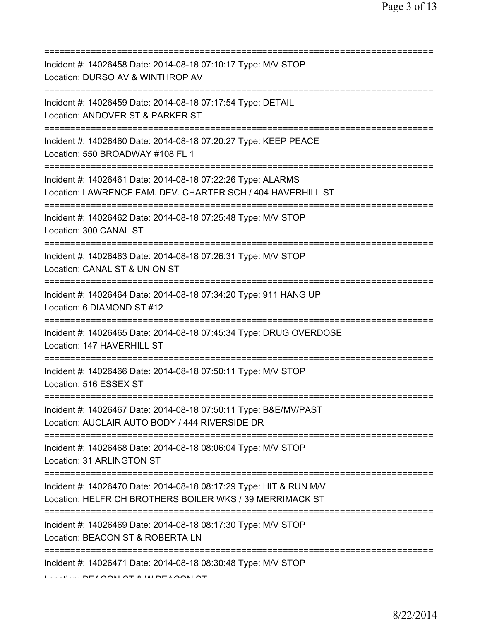| Incident #: 14026458 Date: 2014-08-18 07:10:17 Type: M/V STOP<br>Location: DURSO AV & WINTHROP AV                                                             |
|---------------------------------------------------------------------------------------------------------------------------------------------------------------|
| :=====================<br>Incident #: 14026459 Date: 2014-08-18 07:17:54 Type: DETAIL<br>Location: ANDOVER ST & PARKER ST<br>================================ |
| Incident #: 14026460 Date: 2014-08-18 07:20:27 Type: KEEP PEACE<br>Location: 550 BROADWAY #108 FL 1<br>=====================                                  |
| Incident #: 14026461 Date: 2014-08-18 07:22:26 Type: ALARMS<br>Location: LAWRENCE FAM. DEV. CHARTER SCH / 404 HAVERHILL ST                                    |
| Incident #: 14026462 Date: 2014-08-18 07:25:48 Type: M/V STOP<br>Location: 300 CANAL ST                                                                       |
| Incident #: 14026463 Date: 2014-08-18 07:26:31 Type: M/V STOP<br>Location: CANAL ST & UNION ST                                                                |
| Incident #: 14026464 Date: 2014-08-18 07:34:20 Type: 911 HANG UP<br>Location: 6 DIAMOND ST #12                                                                |
| Incident #: 14026465 Date: 2014-08-18 07:45:34 Type: DRUG OVERDOSE<br>Location: 147 HAVERHILL ST                                                              |
| Incident #: 14026466 Date: 2014-08-18 07:50:11 Type: M/V STOP<br>Location: 516 ESSEX ST                                                                       |
| Incident #: 14026467 Date: 2014-08-18 07:50:11 Type: B&E/MV/PAST<br>Location: AUCLAIR AUTO BODY / 444 RIVERSIDE DR                                            |
| Incident #: 14026468 Date: 2014-08-18 08:06:04 Type: M/V STOP<br>Location: 31 ARLINGTON ST                                                                    |
| Incident #: 14026470 Date: 2014-08-18 08:17:29 Type: HIT & RUN M/V<br>Location: HELFRICH BROTHERS BOILER WKS / 39 MERRIMACK ST                                |
| Incident #: 14026469 Date: 2014-08-18 08:17:30 Type: M/V STOP<br>Location: BEACON ST & ROBERTA LN                                                             |
| Incident #: 14026471 Date: 2014-08-18 08:30:48 Type: M/V STOP                                                                                                 |

Location: BEACON ST & W BEACON ST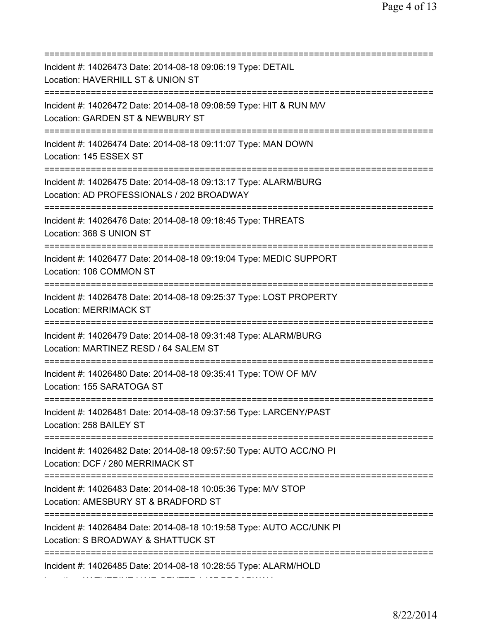| Incident #: 14026473 Date: 2014-08-18 09:06:19 Type: DETAIL<br>Location: HAVERHILL ST & UNION ST                            |
|-----------------------------------------------------------------------------------------------------------------------------|
| Incident #: 14026472 Date: 2014-08-18 09:08:59 Type: HIT & RUN M/V<br>Location: GARDEN ST & NEWBURY ST                      |
| Incident #: 14026474 Date: 2014-08-18 09:11:07 Type: MAN DOWN<br>Location: 145 ESSEX ST<br>================================ |
| Incident #: 14026475 Date: 2014-08-18 09:13:17 Type: ALARM/BURG<br>Location: AD PROFESSIONALS / 202 BROADWAY                |
| Incident #: 14026476 Date: 2014-08-18 09:18:45 Type: THREATS<br>Location: 368 S UNION ST                                    |
| Incident #: 14026477 Date: 2014-08-18 09:19:04 Type: MEDIC SUPPORT<br>Location: 106 COMMON ST                               |
| Incident #: 14026478 Date: 2014-08-18 09:25:37 Type: LOST PROPERTY<br><b>Location: MERRIMACK ST</b>                         |
| Incident #: 14026479 Date: 2014-08-18 09:31:48 Type: ALARM/BURG<br>Location: MARTINEZ RESD / 64 SALEM ST                    |
| Incident #: 14026480 Date: 2014-08-18 09:35:41 Type: TOW OF M/V<br>Location: 155 SARATOGA ST                                |
| Incident #: 14026481 Date: 2014-08-18 09:37:56 Type: LARCENY/PAST<br>Location: 258 BAILEY ST                                |
| Incident #: 14026482 Date: 2014-08-18 09:57:50 Type: AUTO ACC/NO PI<br>Location: DCF / 280 MERRIMACK ST                     |
| Incident #: 14026483 Date: 2014-08-18 10:05:36 Type: M/V STOP<br>Location: AMESBURY ST & BRADFORD ST                        |
| Incident #: 14026484 Date: 2014-08-18 10:19:58 Type: AUTO ACC/UNK PI<br>Location: S BROADWAY & SHATTUCK ST                  |
| Incident #: 14026485 Date: 2014-08-18 10:28:55 Type: ALARM/HOLD                                                             |

Location: KATHERINE HAIR CENTER / 467 BROADWAY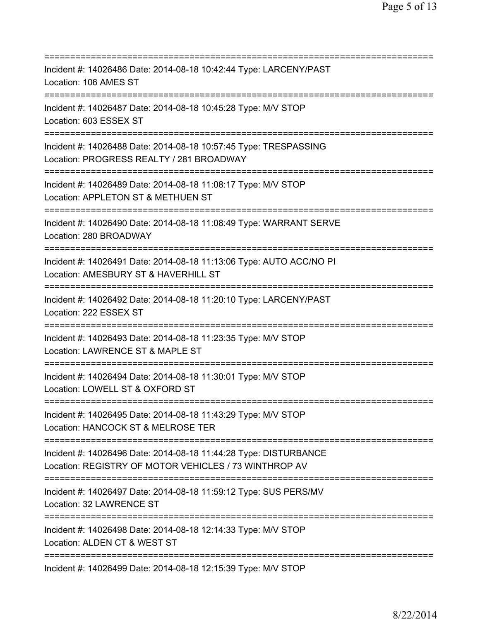| Incident #: 14026486 Date: 2014-08-18 10:42:44 Type: LARCENY/PAST<br>Location: 106 AMES ST                                           |
|--------------------------------------------------------------------------------------------------------------------------------------|
| Incident #: 14026487 Date: 2014-08-18 10:45:28 Type: M/V STOP<br>Location: 603 ESSEX ST                                              |
| Incident #: 14026488 Date: 2014-08-18 10:57:45 Type: TRESPASSING<br>Location: PROGRESS REALTY / 281 BROADWAY                         |
| Incident #: 14026489 Date: 2014-08-18 11:08:17 Type: M/V STOP<br>Location: APPLETON ST & METHUEN ST                                  |
| Incident #: 14026490 Date: 2014-08-18 11:08:49 Type: WARRANT SERVE<br>Location: 280 BROADWAY<br>==================================== |
| Incident #: 14026491 Date: 2014-08-18 11:13:06 Type: AUTO ACC/NO PI<br>Location: AMESBURY ST & HAVERHILL ST                          |
| Incident #: 14026492 Date: 2014-08-18 11:20:10 Type: LARCENY/PAST<br>Location: 222 ESSEX ST<br>:==========================           |
| Incident #: 14026493 Date: 2014-08-18 11:23:35 Type: M/V STOP<br>Location: LAWRENCE ST & MAPLE ST                                    |
| Incident #: 14026494 Date: 2014-08-18 11:30:01 Type: M/V STOP<br>Location: LOWELL ST & OXFORD ST                                     |
| Incident #: 14026495 Date: 2014-08-18 11:43:29 Type: M/V STOP<br>Location: HANCOCK ST & MELROSE TER                                  |
| Incident #: 14026496 Date: 2014-08-18 11:44:28 Type: DISTURBANCE<br>Location: REGISTRY OF MOTOR VEHICLES / 73 WINTHROP AV            |
| Incident #: 14026497 Date: 2014-08-18 11:59:12 Type: SUS PERS/MV<br>Location: 32 LAWRENCE ST                                         |
| Incident #: 14026498 Date: 2014-08-18 12:14:33 Type: M/V STOP<br>Location: ALDEN CT & WEST ST                                        |
| Incident #: 14026499 Date: 2014-08-18 12:15:39 Type: M/V STOP                                                                        |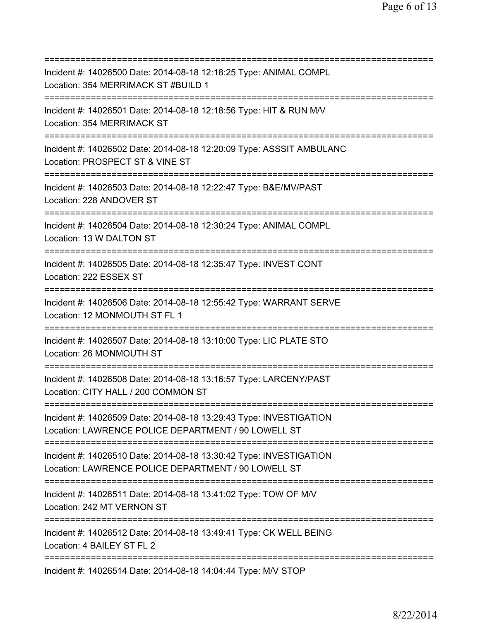=========================================================================== Incident #: 14026500 Date: 2014-08-18 12:18:25 Type: ANIMAL COMPL Location: 354 MERRIMACK ST #BUILD 1 =========================================================================== Incident #: 14026501 Date: 2014-08-18 12:18:56 Type: HIT & RUN M/V Location: 354 MERRIMACK ST =========================================================================== Incident #: 14026502 Date: 2014-08-18 12:20:09 Type: ASSSIT AMBULANC Location: PROSPECT ST & VINE ST =========================================================================== Incident #: 14026503 Date: 2014-08-18 12:22:47 Type: B&E/MV/PAST Location: 228 ANDOVER ST =========================================================================== Incident #: 14026504 Date: 2014-08-18 12:30:24 Type: ANIMAL COMPL Location: 13 W DALTON ST =========================================================================== Incident #: 14026505 Date: 2014-08-18 12:35:47 Type: INVEST CONT Location: 222 ESSEX ST =========================================================================== Incident #: 14026506 Date: 2014-08-18 12:55:42 Type: WARRANT SERVE Location: 12 MONMOUTH ST FL 1 =========================================================================== Incident #: 14026507 Date: 2014-08-18 13:10:00 Type: LIC PLATE STO Location: 26 MONMOUTH ST =========================================================================== Incident #: 14026508 Date: 2014-08-18 13:16:57 Type: LARCENY/PAST Location: CITY HALL / 200 COMMON ST =========================================================================== Incident #: 14026509 Date: 2014-08-18 13:29:43 Type: INVESTIGATION Location: LAWRENCE POLICE DEPARTMENT / 90 LOWELL ST =========================================================================== Incident #: 14026510 Date: 2014-08-18 13:30:42 Type: INVESTIGATION Location: LAWRENCE POLICE DEPARTMENT / 90 LOWELL ST =========================================================================== Incident #: 14026511 Date: 2014-08-18 13:41:02 Type: TOW OF M/V Location: 242 MT VERNON ST =========================================================================== Incident #: 14026512 Date: 2014-08-18 13:49:41 Type: CK WELL BEING Location: 4 BAILEY ST FL 2 =========================================================================== Incident #: 14026514 Date: 2014-08-18 14:04:44 Type: M/V STOP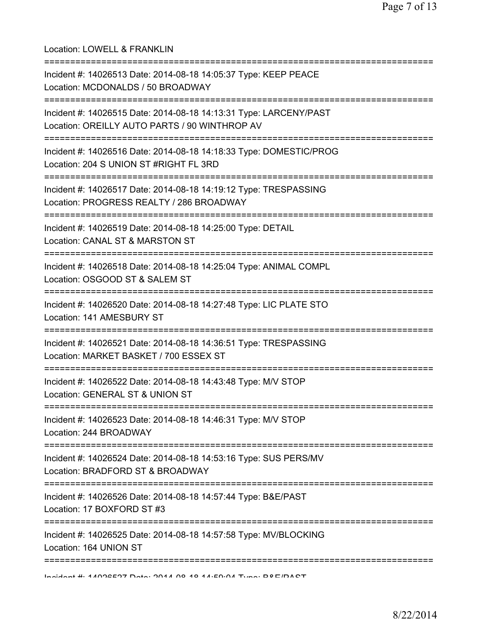| Location: LOWELL & FRANKLIN                                                                                                                   |
|-----------------------------------------------------------------------------------------------------------------------------------------------|
| Incident #: 14026513 Date: 2014-08-18 14:05:37 Type: KEEP PEACE<br>Location: MCDONALDS / 50 BROADWAY<br>================================      |
| Incident #: 14026515 Date: 2014-08-18 14:13:31 Type: LARCENY/PAST<br>Location: OREILLY AUTO PARTS / 90 WINTHROP AV                            |
| Incident #: 14026516 Date: 2014-08-18 14:18:33 Type: DOMESTIC/PROG<br>Location: 204 S UNION ST #RIGHT FL 3RD                                  |
| Incident #: 14026517 Date: 2014-08-18 14:19:12 Type: TRESPASSING<br>Location: PROGRESS REALTY / 286 BROADWAY                                  |
| Incident #: 14026519 Date: 2014-08-18 14:25:00 Type: DETAIL<br>Location: CANAL ST & MARSTON ST                                                |
| Incident #: 14026518 Date: 2014-08-18 14:25:04 Type: ANIMAL COMPL<br>Location: OSGOOD ST & SALEM ST                                           |
| Incident #: 14026520 Date: 2014-08-18 14:27:48 Type: LIC PLATE STO<br>Location: 141 AMESBURY ST<br>===================================        |
| Incident #: 14026521 Date: 2014-08-18 14:36:51 Type: TRESPASSING<br>Location: MARKET BASKET / 700 ESSEX ST                                    |
| Incident #: 14026522 Date: 2014-08-18 14:43:48 Type: M/V STOP<br>Location: GENERAL ST & UNION ST                                              |
| Incident #: 14026523 Date: 2014-08-18 14:46:31 Type: M/V STOP<br>Location: 244 BROADWAY                                                       |
| =====================================<br>Incident #: 14026524 Date: 2014-08-18 14:53:16 Type: SUS PERS/MV<br>Location: BRADFORD ST & BROADWAY |
| Incident #: 14026526 Date: 2014-08-18 14:57:44 Type: B&E/PAST<br>Location: 17 BOXFORD ST #3                                                   |
| Incident #: 14026525 Date: 2014-08-18 14:57:58 Type: MV/BLOCKING<br>Location: 164 UNION ST                                                    |
| looident #: 11096597 Dete: 2011 00 10 11:50:01 Tupe: DRE/DAST                                                                                 |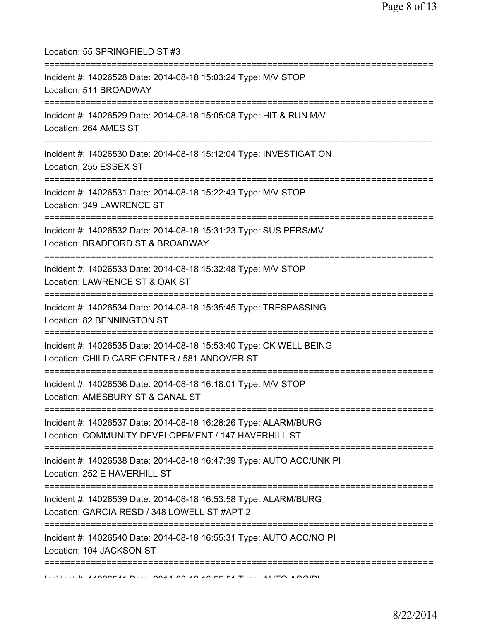| Location: 55 SPRINGFIELD ST #3<br>===================================                                                                         |
|-----------------------------------------------------------------------------------------------------------------------------------------------|
| Incident #: 14026528 Date: 2014-08-18 15:03:24 Type: M/V STOP<br>Location: 511 BROADWAY                                                       |
| Incident #: 14026529 Date: 2014-08-18 15:05:08 Type: HIT & RUN M/V<br>Location: 264 AMES ST<br>===============================                |
| Incident #: 14026530 Date: 2014-08-18 15:12:04 Type: INVESTIGATION<br>Location: 255 ESSEX ST                                                  |
| Incident #: 14026531 Date: 2014-08-18 15:22:43 Type: M/V STOP<br>Location: 349 LAWRENCE ST                                                    |
| =====================================<br>Incident #: 14026532 Date: 2014-08-18 15:31:23 Type: SUS PERS/MV<br>Location: BRADFORD ST & BROADWAY |
| Incident #: 14026533 Date: 2014-08-18 15:32:48 Type: M/V STOP<br>Location: LAWRENCE ST & OAK ST                                               |
| Incident #: 14026534 Date: 2014-08-18 15:35:45 Type: TRESPASSING<br>Location: 82 BENNINGTON ST                                                |
| Incident #: 14026535 Date: 2014-08-18 15:53:40 Type: CK WELL BEING<br>Location: CHILD CARE CENTER / 581 ANDOVER ST                            |
| Incident #: 14026536 Date: 2014-08-18 16:18:01 Type: M/V STOP<br>Location: AMESBURY ST & CANAL ST                                             |
| Incident #: 14026537 Date: 2014-08-18 16:28:26 Type: ALARM/BURG<br>Location: COMMUNITY DEVELOPEMENT / 147 HAVERHILL ST                        |
| Incident #: 14026538 Date: 2014-08-18 16:47:39 Type: AUTO ACC/UNK PI<br>Location: 252 E HAVERHILL ST                                          |
| Incident #: 14026539 Date: 2014-08-18 16:53:58 Type: ALARM/BURG<br>Location: GARCIA RESD / 348 LOWELL ST #APT 2                               |
| Incident #: 14026540 Date: 2014-08-18 16:55:31 Type: AUTO ACC/NO PI<br>Location: 104 JACKSON ST                                               |
| ==========================                                                                                                                    |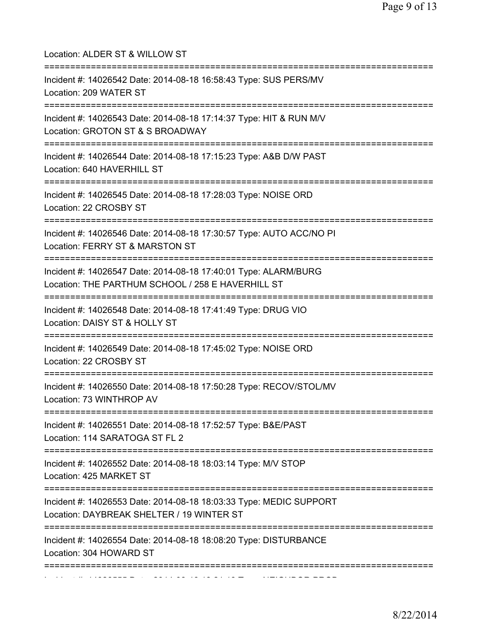| Location: ALDER ST & WILLOW ST<br>=====================================                                                                                         |
|-----------------------------------------------------------------------------------------------------------------------------------------------------------------|
| Incident #: 14026542 Date: 2014-08-18 16:58:43 Type: SUS PERS/MV<br>Location: 209 WATER ST<br>=====================================                             |
| Incident #: 14026543 Date: 2014-08-18 17:14:37 Type: HIT & RUN M/V<br>Location: GROTON ST & S BROADWAY<br>==========================                            |
| Incident #: 14026544 Date: 2014-08-18 17:15:23 Type: A&B D/W PAST<br>Location: 640 HAVERHILL ST                                                                 |
| Incident #: 14026545 Date: 2014-08-18 17:28:03 Type: NOISE ORD<br>Location: 22 CROSBY ST                                                                        |
| =====================================<br>Incident #: 14026546 Date: 2014-08-18 17:30:57 Type: AUTO ACC/NO PI<br>Location: FERRY ST & MARSTON ST<br>:=========== |
| Incident #: 14026547 Date: 2014-08-18 17:40:01 Type: ALARM/BURG<br>Location: THE PARTHUM SCHOOL / 258 E HAVERHILL ST                                            |
| Incident #: 14026548 Date: 2014-08-18 17:41:49 Type: DRUG VIO<br>Location: DAISY ST & HOLLY ST                                                                  |
| Incident #: 14026549 Date: 2014-08-18 17:45:02 Type: NOISE ORD<br>Location: 22 CROSBY ST                                                                        |
| Incident #: 14026550 Date: 2014-08-18 17:50:28 Type: RECOV/STOL/MV<br>Location: 73 WINTHROP AV<br>======================================                        |
| Incident #: 14026551 Date: 2014-08-18 17:52:57 Type: B&E/PAST<br>Location: 114 SARATOGA ST FL 2                                                                 |
| Incident #: 14026552 Date: 2014-08-18 18:03:14 Type: M/V STOP<br>Location: 425 MARKET ST                                                                        |
| Incident #: 14026553 Date: 2014-08-18 18:03:33 Type: MEDIC SUPPORT<br>Location: DAYBREAK SHELTER / 19 WINTER ST                                                 |
| Incident #: 14026554 Date: 2014-08-18 18:08:20 Type: DISTURBANCE<br>Location: 304 HOWARD ST                                                                     |
| ===============                                                                                                                                                 |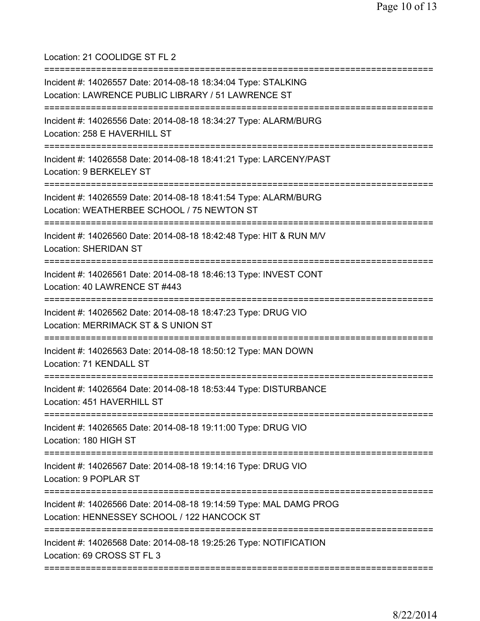Location: 21 COOLIDGE ST FL 2

=========================================================================== Incident #: 14026557 Date: 2014-08-18 18:34:04 Type: STALKING Location: LAWRENCE PUBLIC LIBRARY / 51 LAWRENCE ST =========================================================================== Incident #: 14026556 Date: 2014-08-18 18:34:27 Type: ALARM/BURG Location: 258 E HAVERHILL ST =========================================================================== Incident #: 14026558 Date: 2014-08-18 18:41:21 Type: LARCENY/PAST Location: 9 BERKELEY ST =========================================================================== Incident #: 14026559 Date: 2014-08-18 18:41:54 Type: ALARM/BURG Location: WEATHERBEE SCHOOL / 75 NEWTON ST =========================================================================== Incident #: 14026560 Date: 2014-08-18 18:42:48 Type: HIT & RUN M/V Location: SHERIDAN ST =========================================================================== Incident #: 14026561 Date: 2014-08-18 18:46:13 Type: INVEST CONT Location: 40 LAWRENCE ST #443 =========================================================================== Incident #: 14026562 Date: 2014-08-18 18:47:23 Type: DRUG VIO Location: MERRIMACK ST & S UNION ST =========================================================================== Incident #: 14026563 Date: 2014-08-18 18:50:12 Type: MAN DOWN Location: 71 KENDALL ST =========================================================================== Incident #: 14026564 Date: 2014-08-18 18:53:44 Type: DISTURBANCE Location: 451 HAVERHILL ST =========================================================================== Incident #: 14026565 Date: 2014-08-18 19:11:00 Type: DRUG VIO Location: 180 HIGH ST =========================================================================== Incident #: 14026567 Date: 2014-08-18 19:14:16 Type: DRUG VIO Location: 9 POPLAR ST =========================================================================== Incident #: 14026566 Date: 2014-08-18 19:14:59 Type: MAL DAMG PROG Location: HENNESSEY SCHOOL / 122 HANCOCK ST =========================================================================== Incident #: 14026568 Date: 2014-08-18 19:25:26 Type: NOTIFICATION Location: 69 CROSS ST FL 3 ===========================================================================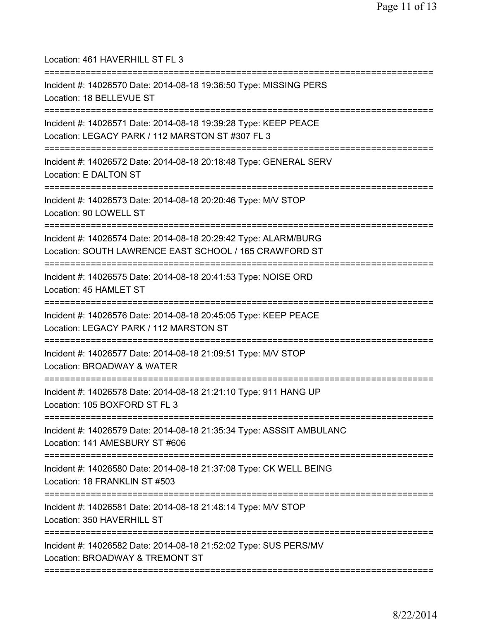| Location: 461 HAVERHILL ST FL 3                                                                                                                              |
|--------------------------------------------------------------------------------------------------------------------------------------------------------------|
| Incident #: 14026570 Date: 2014-08-18 19:36:50 Type: MISSING PERS<br>Location: 18 BELLEVUE ST                                                                |
| Incident #: 14026571 Date: 2014-08-18 19:39:28 Type: KEEP PEACE<br>Location: LEGACY PARK / 112 MARSTON ST #307 FL 3<br>===================================== |
| Incident #: 14026572 Date: 2014-08-18 20:18:48 Type: GENERAL SERV<br>Location: E DALTON ST<br>;==============================                                |
| Incident #: 14026573 Date: 2014-08-18 20:20:46 Type: M/V STOP<br>Location: 90 LOWELL ST                                                                      |
| Incident #: 14026574 Date: 2014-08-18 20:29:42 Type: ALARM/BURG<br>Location: SOUTH LAWRENCE EAST SCHOOL / 165 CRAWFORD ST                                    |
| Incident #: 14026575 Date: 2014-08-18 20:41:53 Type: NOISE ORD<br>Location: 45 HAMLET ST                                                                     |
| Incident #: 14026576 Date: 2014-08-18 20:45:05 Type: KEEP PEACE<br>Location: LEGACY PARK / 112 MARSTON ST                                                    |
| Incident #: 14026577 Date: 2014-08-18 21:09:51 Type: M/V STOP<br>Location: BROADWAY & WATER<br>======================================                        |
| Incident #: 14026578 Date: 2014-08-18 21:21:10 Type: 911 HANG UP<br>Location: 105 BOXFORD ST FL 3                                                            |
| Incident #: 14026579 Date: 2014-08-18 21:35:34 Type: ASSSIT AMBULANC<br>Location: 141 AMESBURY ST #606                                                       |
| Incident #: 14026580 Date: 2014-08-18 21:37:08 Type: CK WELL BEING<br>Location: 18 FRANKLIN ST #503                                                          |
| Incident #: 14026581 Date: 2014-08-18 21:48:14 Type: M/V STOP<br>Location: 350 HAVERHILL ST                                                                  |
| Incident #: 14026582 Date: 2014-08-18 21:52:02 Type: SUS PERS/MV<br>Location: BROADWAY & TREMONT ST                                                          |
|                                                                                                                                                              |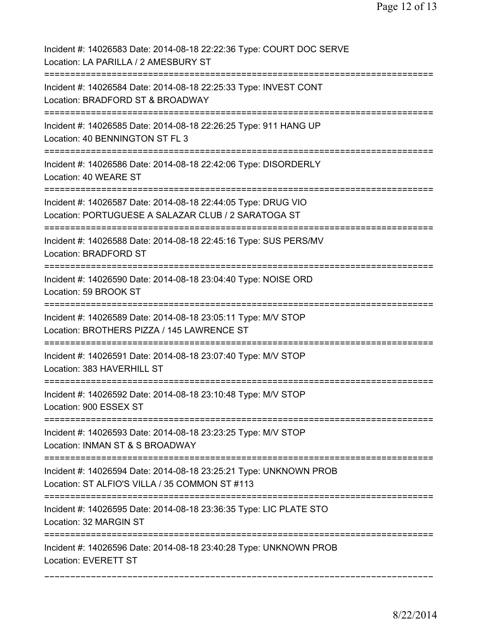| Incident #: 14026583 Date: 2014-08-18 22:22:36 Type: COURT DOC SERVE<br>Location: LA PARILLA / 2 AMESBURY ST         |
|----------------------------------------------------------------------------------------------------------------------|
| Incident #: 14026584 Date: 2014-08-18 22:25:33 Type: INVEST CONT<br>Location: BRADFORD ST & BROADWAY                 |
| Incident #: 14026585 Date: 2014-08-18 22:26:25 Type: 911 HANG UP<br>Location: 40 BENNINGTON ST FL 3                  |
| Incident #: 14026586 Date: 2014-08-18 22:42:06 Type: DISORDERLY<br>Location: 40 WEARE ST                             |
| Incident #: 14026587 Date: 2014-08-18 22:44:05 Type: DRUG VIO<br>Location: PORTUGUESE A SALAZAR CLUB / 2 SARATOGA ST |
| Incident #: 14026588 Date: 2014-08-18 22:45:16 Type: SUS PERS/MV<br>Location: BRADFORD ST                            |
| Incident #: 14026590 Date: 2014-08-18 23:04:40 Type: NOISE ORD<br>Location: 59 BROOK ST                              |
| Incident #: 14026589 Date: 2014-08-18 23:05:11 Type: M/V STOP<br>Location: BROTHERS PIZZA / 145 LAWRENCE ST          |
| Incident #: 14026591 Date: 2014-08-18 23:07:40 Type: M/V STOP<br>Location: 383 HAVERHILL ST                          |
| Incident #: 14026592 Date: 2014-08-18 23:10:48 Type: M/V STOP<br>Location: 900 ESSEX ST                              |
| Incident #: 14026593 Date: 2014-08-18 23:23:25 Type: M/V STOP<br>Location: INMAN ST & S BROADWAY                     |
| Incident #: 14026594 Date: 2014-08-18 23:25:21 Type: UNKNOWN PROB<br>Location: ST ALFIO'S VILLA / 35 COMMON ST #113  |
| Incident #: 14026595 Date: 2014-08-18 23:36:35 Type: LIC PLATE STO<br>Location: 32 MARGIN ST                         |
| Incident #: 14026596 Date: 2014-08-18 23:40:28 Type: UNKNOWN PROB<br>Location: EVERETT ST                            |
|                                                                                                                      |